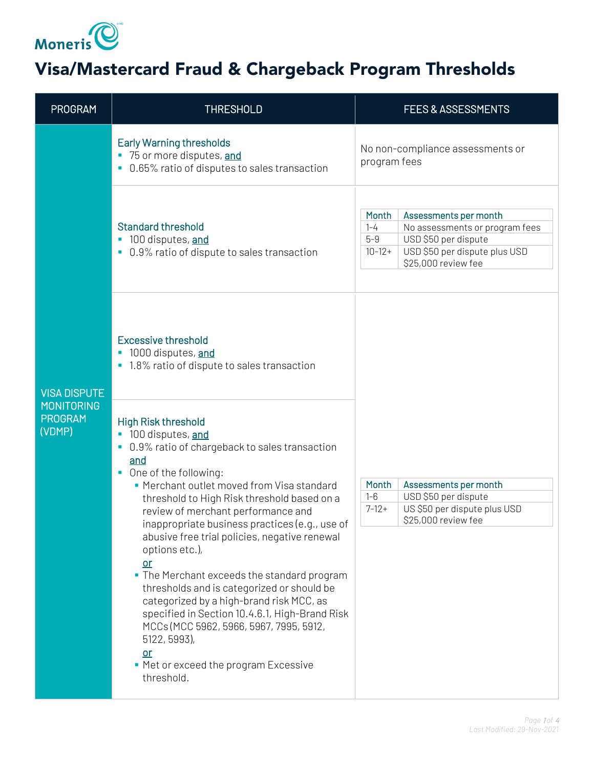

| <b>PROGRAM</b>                                                       | <b>THRESHOLD</b>                                                                                                                                                                                                                                                                                                                                                                                                                                                                                                                                                                                                                                                                                                        | <b>FEES &amp; ASSESSMENTS</b>                                                                                                                                                       |
|----------------------------------------------------------------------|-------------------------------------------------------------------------------------------------------------------------------------------------------------------------------------------------------------------------------------------------------------------------------------------------------------------------------------------------------------------------------------------------------------------------------------------------------------------------------------------------------------------------------------------------------------------------------------------------------------------------------------------------------------------------------------------------------------------------|-------------------------------------------------------------------------------------------------------------------------------------------------------------------------------------|
| <b>VISA DISPUTE</b><br><b>MONITORING</b><br><b>PROGRAM</b><br>(VDMP) | <b>Early Warning thresholds</b><br>• 75 or more disputes, and<br>• 0.65% ratio of disputes to sales transaction                                                                                                                                                                                                                                                                                                                                                                                                                                                                                                                                                                                                         | No non-compliance assessments or<br>program fees                                                                                                                                    |
|                                                                      | <b>Standard threshold</b><br>• 100 disputes, and<br>• 0.9% ratio of dispute to sales transaction                                                                                                                                                                                                                                                                                                                                                                                                                                                                                                                                                                                                                        | Month<br>Assessments per month<br>$1 - 4$<br>No assessments or program fees<br>$5-9$<br>USD \$50 per dispute<br>USD \$50 per dispute plus USD<br>$10 - 12 +$<br>\$25,000 review fee |
|                                                                      | <b>Excessive threshold</b><br>• 1000 disputes, and<br>• 1.8% ratio of dispute to sales transaction                                                                                                                                                                                                                                                                                                                                                                                                                                                                                                                                                                                                                      |                                                                                                                                                                                     |
|                                                                      | <b>High Risk threshold</b><br>• 100 disputes, and<br>0.9% ratio of chargeback to sales transaction<br>and<br>• One of the following:<br>• Merchant outlet moved from Visa standard<br>threshold to High Risk threshold based on a<br>review of merchant performance and<br>inappropriate business practices (e.g., use of<br>abusive free trial policies, negative renewal<br>options etc.),<br>$or$<br>• The Merchant exceeds the standard program<br>thresholds and is categorized or should be<br>categorized by a high-brand risk MCC, as<br>specified in Section 10.4.6.1, High-Brand Risk<br>MCCs (MCC 5962, 5966, 5967, 7995, 5912,<br>5122, 5993),<br>or<br>• Met or exceed the program Excessive<br>threshold. | Month<br>Assessments per month<br>$1 - 6$<br>USD \$50 per dispute<br>US \$50 per dispute plus USD<br>$7 - 12 +$<br>\$25,000 review fee                                              |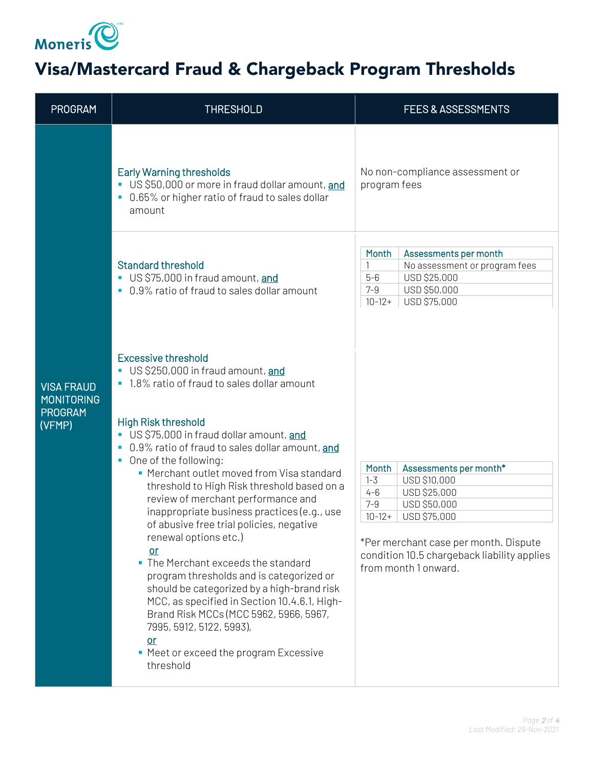

| <b>PROGRAM</b>                                                     | <b>THRESHOLD</b>                                                                                                                                                                                                                                                                                                                                                                                                                                                                                                                                                                                                                                                                                                                                                                                                                                        | <b>FEES &amp; ASSESSMENTS</b>                                                                                                                                                                                                                                   |
|--------------------------------------------------------------------|---------------------------------------------------------------------------------------------------------------------------------------------------------------------------------------------------------------------------------------------------------------------------------------------------------------------------------------------------------------------------------------------------------------------------------------------------------------------------------------------------------------------------------------------------------------------------------------------------------------------------------------------------------------------------------------------------------------------------------------------------------------------------------------------------------------------------------------------------------|-----------------------------------------------------------------------------------------------------------------------------------------------------------------------------------------------------------------------------------------------------------------|
| <b>VISA FRAUD</b><br><b>MONITORING</b><br><b>PROGRAM</b><br>(VFMP) | <b>Early Warning thresholds</b><br>US \$50,000 or more in fraud dollar amount, and<br>• 0.65% or higher ratio of fraud to sales dollar<br>amount                                                                                                                                                                                                                                                                                                                                                                                                                                                                                                                                                                                                                                                                                                        | No non-compliance assessment or<br>program fees                                                                                                                                                                                                                 |
|                                                                    | <b>Standard threshold</b><br>US \$75,000 in fraud amount, and<br>• 0.9% ratio of fraud to sales dollar amount                                                                                                                                                                                                                                                                                                                                                                                                                                                                                                                                                                                                                                                                                                                                           | Month<br>Assessments per month<br>No assessment or program fees<br>USD \$25,000<br>$5 - 6$<br>$7 - 9$<br>USD \$50,000<br>$10 - 12 +$<br>USD \$75,000                                                                                                            |
|                                                                    | <b>Excessive threshold</b><br>US \$250,000 in fraud amount, and<br>• 1.8% ratio of fraud to sales dollar amount<br><b>High Risk threshold</b><br>US \$75,000 in fraud dollar amount, and<br>0.9% ratio of fraud to sales dollar amount, and<br>One of the following:<br>• Merchant outlet moved from Visa standard<br>threshold to High Risk threshold based on a<br>review of merchant performance and<br>inappropriate business practices (e.g., use<br>of abusive free trial policies, negative<br>renewal options etc.)<br>$or$<br>• The Merchant exceeds the standard<br>program thresholds and is categorized or<br>should be categorized by a high-brand risk<br>MCC, as specified in Section 10.4.6.1, High-<br>Brand Risk MCCs (MCC 5962, 5966, 5967,<br>7995, 5912, 5122, 5993),<br>or<br>• Meet or exceed the program Excessive<br>threshold | Assessments per month*<br>Month<br>$1 - 3$<br>USD \$10,000<br>USD \$25,000<br>$4 - 6$<br>$7 - 9$<br>USD \$50,000<br>$10 - 12 +$<br>USD \$75,000<br>*Per merchant case per month. Dispute<br>condition 10.5 chargeback liability applies<br>from month 1 onward. |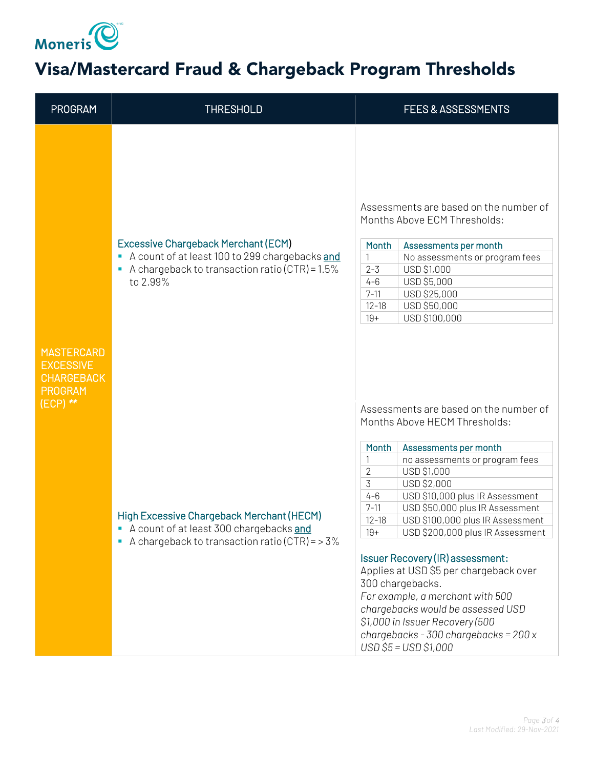

| <b>PROGRAM</b>                                                                             | <b>THRESHOLD</b>                                                                                                                                              | <b>FEES &amp; ASSESSMENTS</b>                                                                                                                                                                                                                                                                                                                                                                                                                                                                                                                                                                                                                                                |
|--------------------------------------------------------------------------------------------|---------------------------------------------------------------------------------------------------------------------------------------------------------------|------------------------------------------------------------------------------------------------------------------------------------------------------------------------------------------------------------------------------------------------------------------------------------------------------------------------------------------------------------------------------------------------------------------------------------------------------------------------------------------------------------------------------------------------------------------------------------------------------------------------------------------------------------------------------|
| <b>MASTERCARD</b><br><b>EXCESSIVE</b><br><b>CHARGEBACK</b><br><b>PROGRAM</b><br>$(ECP)$ ** | <b>Excessive Chargeback Merchant (ECM)</b><br>A count of at least 100 to 299 chargebacks and<br>A chargeback to transaction ratio (CTR) = $1.5\%$<br>to 2.99% | Assessments are based on the number of<br>Months Above ECM Thresholds:<br>Month<br>Assessments per month<br>1<br>No assessments or program fees<br>USD \$1,000<br>$2 - 3$<br>$4 - 6$<br>USD \$5,000<br>$7 - 11$<br>USD \$25,000<br>USD \$50,000<br>$12 - 18$<br>USD \$100,000<br>$19+$                                                                                                                                                                                                                                                                                                                                                                                       |
|                                                                                            | High Excessive Chargeback Merchant (HECM)<br>A count of at least 300 chargebacks and<br>A chargeback to transaction ratio (CTR) = $>$ 3%                      | Assessments are based on the number of<br>Months Above HECM Thresholds:<br>Month<br>Assessments per month<br>no assessments or program fees<br>$\overline{2}$<br>USD \$1,000<br>3<br>USD \$2,000<br>USD \$10,000 plus IR Assessment<br>$4 - 6$<br>USD \$50,000 plus IR Assessment<br>$7 - 11$<br>USD \$100,000 plus IR Assessment<br>$12 - 18$<br>$19+$<br>USD \$200,000 plus IR Assessment<br>Issuer Recovery (IR) assessment:<br>Applies at USD \$5 per chargeback over<br>300 chargebacks.<br>For example, a merchant with 500<br>chargebacks would be assessed USD<br>\$1,000 in Issuer Recovery (500<br>chargebacks - 300 chargebacks = $200x$<br>USD \$5 = USD \$1,000 |